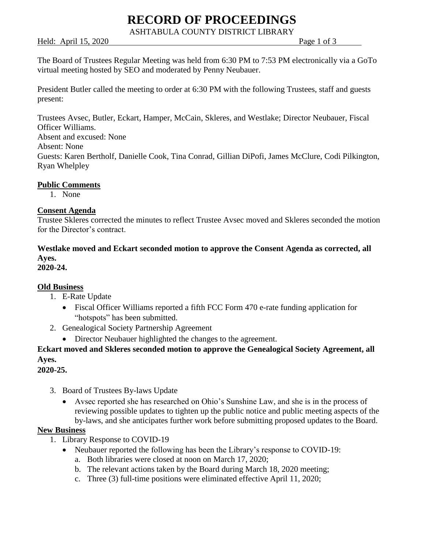# **RECORD OF PROCEEDINGS**

ASHTABULA COUNTY DISTRICT LIBRARY

Held: April 15, 2020 Page 1 of 3

The Board of Trustees Regular Meeting was held from 6:30 PM to 7:53 PM electronically via a GoTo virtual meeting hosted by SEO and moderated by Penny Neubauer.

President Butler called the meeting to order at 6:30 PM with the following Trustees, staff and guests present:

Trustees Avsec, Butler, Eckart, Hamper, McCain, Skleres, and Westlake; Director Neubauer, Fiscal Officer Williams. Absent and excused: None Absent: None Guests: Karen Bertholf, Danielle Cook, Tina Conrad, Gillian DiPofi, James McClure, Codi Pilkington, Ryan Whelpley

### **Public Comments**

1. None

#### **Consent Agenda**

Trustee Skleres corrected the minutes to reflect Trustee Avsec moved and Skleres seconded the motion for the Director's contract.

## **Westlake moved and Eckart seconded motion to approve the Consent Agenda as corrected, all Ayes.**

**2020-24.**

### **Old Business**

- 1. E-Rate Update
	- Fiscal Officer Williams reported a fifth FCC Form 470 e-rate funding application for "hotspots" has been submitted.
- 2. Genealogical Society Partnership Agreement
	- Director Neubauer highlighted the changes to the agreement.

## **Eckart moved and Skleres seconded motion to approve the Genealogical Society Agreement, all Ayes.**

#### **2020-25.**

- 3. Board of Trustees By-laws Update
	- Avsec reported she has researched on Ohio's Sunshine Law, and she is in the process of reviewing possible updates to tighten up the public notice and public meeting aspects of the by-laws, and she anticipates further work before submitting proposed updates to the Board.

#### **New Business**

- 1. Library Response to COVID-19
	- Neubauer reported the following has been the Library's response to COVID-19:
		- a. Both libraries were closed at noon on March 17, 2020;
		- b. The relevant actions taken by the Board during March 18, 2020 meeting;
		- c. Three (3) full-time positions were eliminated effective April 11, 2020;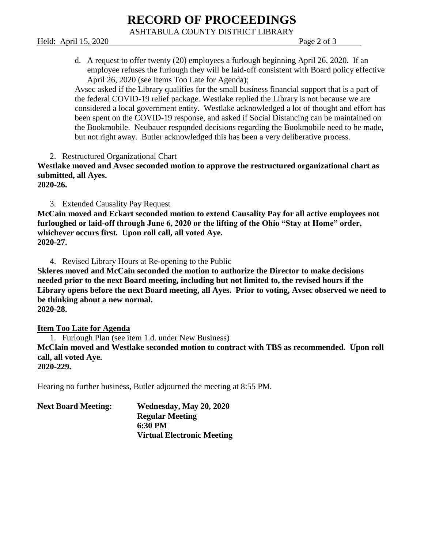# **RECORD OF PROCEEDINGS**

ASHTABULA COUNTY DISTRICT LIBRARY

Held: April 15, 2020 Page 2 of 3

d. A request to offer twenty (20) employees a furlough beginning April 26, 2020. If an employee refuses the furlough they will be laid-off consistent with Board policy effective April 26, 2020 (see Items Too Late for Agenda);

Avsec asked if the Library qualifies for the small business financial support that is a part of the federal COVID-19 relief package. Westlake replied the Library is not because we are considered a local government entity. Westlake acknowledged a lot of thought and effort has been spent on the COVID-19 response, and asked if Social Distancing can be maintained on the Bookmobile. Neubauer responded decisions regarding the Bookmobile need to be made, but not right away. Butler acknowledged this has been a very deliberative process.

2. Restructured Organizational Chart

**Westlake moved and Avsec seconded motion to approve the restructured organizational chart as submitted, all Ayes.**

**2020-26.**

3. Extended Causality Pay Request

**McCain moved and Eckart seconded motion to extend Causality Pay for all active employees not furloughed or laid-off through June 6, 2020 or the lifting of the Ohio "Stay at Home" order, whichever occurs first. Upon roll call, all voted Aye. 2020-27.**

4. Revised Library Hours at Re-opening to the Public

**Skleres moved and McCain seconded the motion to authorize the Director to make decisions needed prior to the next Board meeting, including but not limited to, the revised hours if the Library opens before the next Board meeting, all Ayes. Prior to voting, Avsec observed we need to be thinking about a new normal.**

**2020-28.**

**Item Too Late for Agenda**

1. Furlough Plan (see item 1.d. under New Business) **McClain moved and Westlake seconded motion to contract with TBS as recommended. Upon roll call, all voted Aye.**

**2020-229.**

Hearing no further business, Butler adjourned the meeting at 8:55 PM.

| <b>Next Board Meeting:</b> | Wednesday, May 20, 2020           |
|----------------------------|-----------------------------------|
|                            | <b>Regular Meeting</b>            |
|                            | 6:30 PM                           |
|                            | <b>Virtual Electronic Meeting</b> |